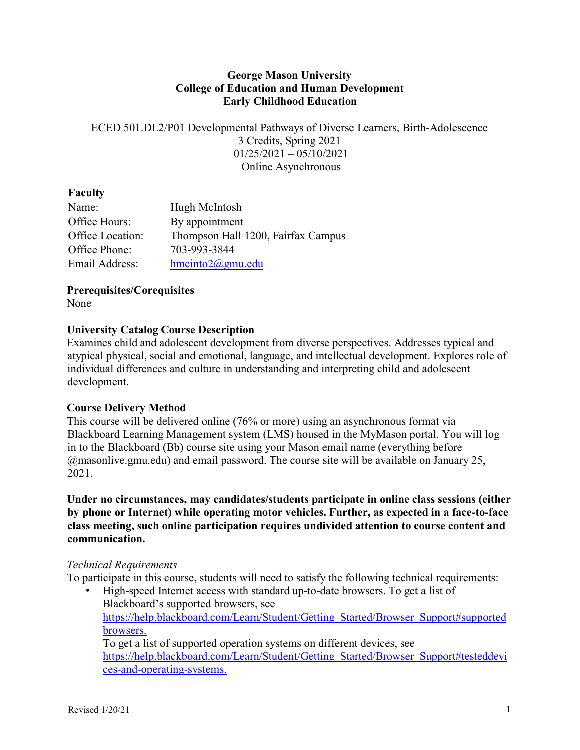### **George Mason University College of Education and Human Development Early Childhood Education**

ECED 501.DL2/P01 Developmental Pathways of Diverse Learners, Birth-Adolescence 3 Credits, Spring 2021  $01/25/2021 - 05/10/2021$ Online Asynchronous

# **Faculty**

| Name:            | Hugh McIntosh                      |
|------------------|------------------------------------|
| Office Hours:    | By appointment                     |
| Office Location: | Thompson Hall 1200, Fairfax Campus |
| Office Phone:    | 703-993-3844                       |
| Email Address:   | $h$ mcinto $2@g$ mu.edu            |

**Prerequisites/Corequisites** 

None

# **University Catalog Course Description**

Examines child and adolescent development from diverse perspectives. Addresses typical and atypical physical, social and emotional, language, and intellectual development. Explores role of individual differences and culture in understanding and interpreting child and adolescent development.

# **Course Delivery Method**

This course will be delivered online (76% or more) using an asynchronous format via Blackboard Learning Management system (LMS) housed in the MyMason portal. You will log in to the Blackboard (Bb) course site using your Mason email name (everything before  $@$ masonlive.gmu.edu) and email password. The course site will be available on January 25, 2021.

**Under no circumstances, may candidates/students participate in online class sessions (either by phone or Internet) while operating motor vehicles. Further, as expected in a face-to-face class meeting, such online participation requires undivided attention to course content and communication.** 

# *Technical Requirements*

To participate in this course, students will need to satisfy the following technical requirements:

• High-speed Internet access with standard up-to-date browsers. To get a list of Blackboard's supported browsers, see https://help.blackboard.com/Learn/Student/Getting\_Started/Browser\_Support#supported browsers.

To get a list of supported operation systems on different devices, see https://help.blackboard.com/Learn/Student/Getting\_Started/Browser\_Support#testeddevi ces-and-operating-systems.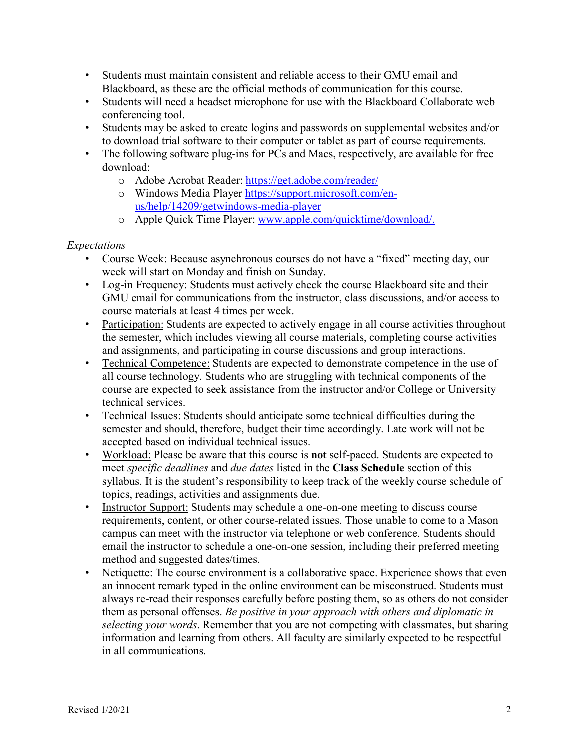- Students must maintain consistent and reliable access to their GMU email and Blackboard, as these are the official methods of communication for this course.
- Students will need a headset microphone for use with the Blackboard Collaborate web conferencing tool.
- Students may be asked to create logins and passwords on supplemental websites and/or to download trial software to their computer or tablet as part of course requirements.
- The following software plug-ins for PCs and Macs, respectively, are available for free download:
	- o Adobe Acrobat Reader: https://get.adobe.com/reader/
	- o Windows Media Player https://support.microsoft.com/enus/help/14209/getwindows-media-player
	- o Apple Quick Time Player: www.apple.com/quicktime/download/.

#### *Expectations*

- Course Week: Because asynchronous courses do not have a "fixed" meeting day, our week will start on Monday and finish on Sunday.
- Log-in Frequency: Students must actively check the course Blackboard site and their GMU email for communications from the instructor, class discussions, and/or access to course materials at least 4 times per week.
- Participation: Students are expected to actively engage in all course activities throughout the semester, which includes viewing all course materials, completing course activities and assignments, and participating in course discussions and group interactions.
- Technical Competence: Students are expected to demonstrate competence in the use of all course technology. Students who are struggling with technical components of the course are expected to seek assistance from the instructor and/or College or University technical services.
- Technical Issues: Students should anticipate some technical difficulties during the semester and should, therefore, budget their time accordingly. Late work will not be accepted based on individual technical issues.
- Workload: Please be aware that this course is **not** self-paced. Students are expected to meet *specific deadlines* and *due dates* listed in the **Class Schedule** section of this syllabus. It is the student's responsibility to keep track of the weekly course schedule of topics, readings, activities and assignments due.
- Instructor Support: Students may schedule a one-on-one meeting to discuss course requirements, content, or other course-related issues. Those unable to come to a Mason campus can meet with the instructor via telephone or web conference. Students should email the instructor to schedule a one-on-one session, including their preferred meeting method and suggested dates/times.
- Netiquette: The course environment is a collaborative space. Experience shows that even an innocent remark typed in the online environment can be misconstrued. Students must always re-read their responses carefully before posting them, so as others do not consider them as personal offenses. *Be positive in your approach with others and diplomatic in selecting your words*. Remember that you are not competing with classmates, but sharing information and learning from others. All faculty are similarly expected to be respectful in all communications.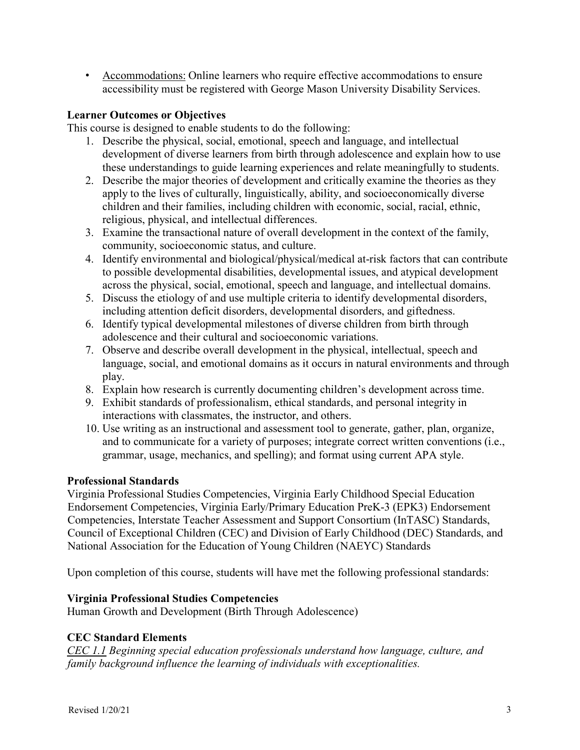• Accommodations: Online learners who require effective accommodations to ensure accessibility must be registered with George Mason University Disability Services.

### **Learner Outcomes or Objectives**

This course is designed to enable students to do the following:

- 1. Describe the physical, social, emotional, speech and language, and intellectual development of diverse learners from birth through adolescence and explain how to use these understandings to guide learning experiences and relate meaningfully to students.
- 2. Describe the major theories of development and critically examine the theories as they apply to the lives of culturally, linguistically, ability, and socioeconomically diverse children and their families, including children with economic, social, racial, ethnic, religious, physical, and intellectual differences.
- 3. Examine the transactional nature of overall development in the context of the family, community, socioeconomic status, and culture.
- 4. Identify environmental and biological/physical/medical at-risk factors that can contribute to possible developmental disabilities, developmental issues, and atypical development across the physical, social, emotional, speech and language, and intellectual domains.
- 5. Discuss the etiology of and use multiple criteria to identify developmental disorders, including attention deficit disorders, developmental disorders, and giftedness.
- 6. Identify typical developmental milestones of diverse children from birth through adolescence and their cultural and socioeconomic variations.
- 7. Observe and describe overall development in the physical, intellectual, speech and language, social, and emotional domains as it occurs in natural environments and through play.
- 8. Explain how research is currently documenting children's development across time.
- 9. Exhibit standards of professionalism, ethical standards, and personal integrity in interactions with classmates, the instructor, and others.
- 10. Use writing as an instructional and assessment tool to generate, gather, plan, organize, and to communicate for a variety of purposes; integrate correct written conventions (i.e., grammar, usage, mechanics, and spelling); and format using current APA style.

# **Professional Standards**

Virginia Professional Studies Competencies, Virginia Early Childhood Special Education Endorsement Competencies, Virginia Early/Primary Education PreK-3 (EPK3) Endorsement Competencies, Interstate Teacher Assessment and Support Consortium (InTASC) Standards, Council of Exceptional Children (CEC) and Division of Early Childhood (DEC) Standards, and National Association for the Education of Young Children (NAEYC) Standards

Upon completion of this course, students will have met the following professional standards:

# **Virginia Professional Studies Competencies**

Human Growth and Development (Birth Through Adolescence)

# **CEC Standard Elements**

*CEC 1.1 Beginning special education professionals understand how language, culture, and family background influence the learning of individuals with exceptionalities.*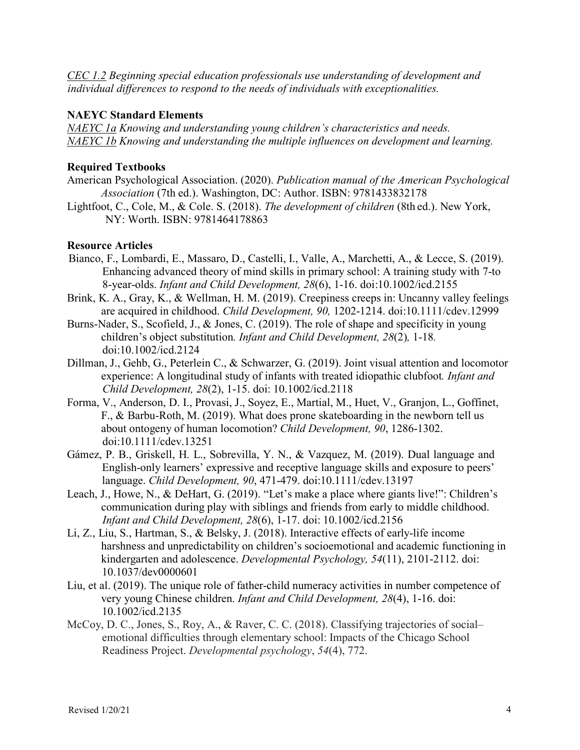*CEC 1.2 Beginning special education professionals use understanding of development and individual differences to respond to the needs of individuals with exceptionalities.* 

#### **NAEYC Standard Elements**

*NAEYC 1a Knowing and understanding young children's characteristics and needs. NAEYC 1b Knowing and understanding the multiple influences on development and learning.*

#### **Required Textbooks**

- American Psychological Association. (2020). *Publication manual of the American Psychological Association* (7th ed.). Washington, DC: Author. ISBN: 9781433832178
- Lightfoot, C., Cole, M., & Cole. S. (2018). *The development of children* (8th ed.). New York, NY: Worth. ISBN: 9781464178863

#### **Resource Articles**

- Bianco, F., Lombardi, E., Massaro, D., Castelli, I., Valle, A., Marchetti, A., & Lecce, S. (2019). Enhancing advanced theory of mind skills in primary school: A training study with 7-to 8-year-olds. *Infant and Child Development, 28*(6), 1-16. doi:10.1002/icd.2155
- Brink, K. A., Gray, K., & Wellman, H. M. (2019). Creepiness creeps in: Uncanny valley feelings are acquired in childhood. *Child Development, 90,* 1202-1214. doi:10.1111/cdev.12999
- Burns-Nader, S., Scofield, J., & Jones, C. (2019). The role of shape and specificity in young children's object substitution*. Infant and Child Development, 28*(2)*,* 1-18*.*  doi:10.1002/icd.2124
- Dillman, J., Gehb, G., Peterlein C., & Schwarzer, G. (2019). Joint visual attention and locomotor experience: A longitudinal study of infants with treated idiopathic clubfoot*. Infant and Child Development, 28*(2), 1-15. doi: 10.1002/icd.2118
- Forma, V., Anderson, D. I., Provasi, J., Soyez, E., Martial, M., Huet, V., Granjon, L., Goffinet, F., & Barbu-Roth, M. (2019). What does prone skateboarding in the newborn tell us about ontogeny of human locomotion? *Child Development, 90*, 1286-1302. doi:10.1111/cdev.13251
- Gámez, P. B., Griskell, H. L., Sobrevilla, Y. N., & Vazquez, M. (2019). Dual language and English-only learners' expressive and receptive language skills and exposure to peers' language. *Child Development, 90*, 471-479. doi:10.1111/cdev.13197
- Leach, J., Howe, N., & DeHart, G. (2019). "Let's make a place where giants live!": Children's communication during play with siblings and friends from early to middle childhood. *Infant and Child Development, 28*(6), 1-17. doi: 10.1002/icd.2156
- Li, Z., Liu, S., Hartman, S., & Belsky, J. (2018). Interactive effects of early-life income harshness and unpredictability on children's socioemotional and academic functioning in kindergarten and adolescence. *Developmental Psychology, 54*(11), 2101-2112. doi: 10.1037/dev0000601
- Liu, et al. (2019). The unique role of father-child numeracy activities in number competence of very young Chinese children. *Infant and Child Development, 28*(4), 1-16. doi: 10.1002/icd.2135
- McCoy, D. C., Jones, S., Roy, A., & Raver, C. C. (2018). Classifying trajectories of social– emotional difficulties through elementary school: Impacts of the Chicago School Readiness Project. *Developmental psychology*, *54*(4), 772.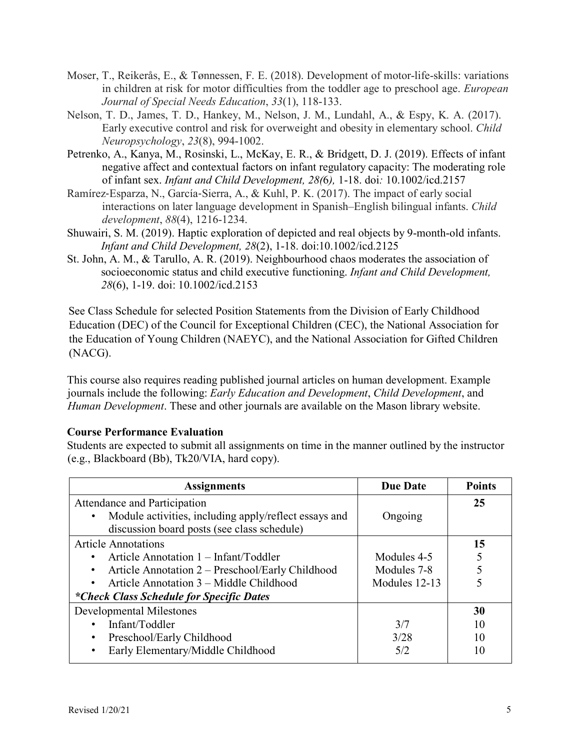- Moser, T., Reikerås, E., & Tønnessen, F. E. (2018). Development of motor-life-skills: variations in children at risk for motor difficulties from the toddler age to preschool age. *European Journal of Special Needs Education*, *33*(1), 118-133.
- Nelson, T. D., James, T. D., Hankey, M., Nelson, J. M., Lundahl, A., & Espy, K. A. (2017). Early executive control and risk for overweight and obesity in elementary school. *Child Neuropsychology*, *23*(8), 994-1002.
- Petrenko, A., Kanya, M., Rosinski, L., McKay, E. R., & Bridgett, D. J. (2019). Effects of infant negative affect and contextual factors on infant regulatory capacity: The moderating role of infant sex. *Infant and Child Development, 28(*6*),* 1-18. doi*:* 10.1002/icd.2157
- Ramírez-Esparza, N., García-Sierra, A., & Kuhl, P. K. (2017). The impact of early social interactions on later language development in Spanish–English bilingual infants. *Child development*, *88*(4), 1216-1234.
- Shuwairi, S. M. (2019). Haptic exploration of depicted and real objects by 9-month-old infants. *Infant and Child Development, 28*(2), 1-18. doi:10.1002/icd.2125
- St. John, A. M., & Tarullo, A. R. (2019). Neighbourhood chaos moderates the association of socioeconomic status and child executive functioning. *Infant and Child Development, 28*(6), 1-19. doi: 10.1002/icd.2153

See Class Schedule for selected Position Statements from the Division of Early Childhood Education (DEC) of the Council for Exceptional Children (CEC), the National Association for the Education of Young Children (NAEYC), and the National Association for Gifted Children (NACG).

This course also requires reading published journal articles on human development. Example journals include the following: *Early Education and Development*, *Child Development*, and *Human Development*. These and other journals are available on the Mason library website.

# **Course Performance Evaluation**

Students are expected to submit all assignments on time in the manner outlined by the instructor (e.g., Blackboard (Bb), Tk20/VIA, hard copy).

| <b>Assignments</b>                                    | <b>Due Date</b> | <b>Points</b> |
|-------------------------------------------------------|-----------------|---------------|
| Attendance and Participation                          |                 | 25            |
| Module activities, including apply/reflect essays and | Ongoing         |               |
| discussion board posts (see class schedule)           |                 |               |
| <b>Article Annotations</b>                            |                 | 15            |
| Article Annotation 1 – Infant/Toddler                 | Modules 4-5     |               |
| Article Annotation 2 – Preschool/Early Childhood      | Modules 7-8     |               |
| Article Annotation 3 – Middle Childhood               | Modules 12-13   |               |
| *Check Class Schedule for Specific Dates              |                 |               |
| <b>Developmental Milestones</b>                       |                 | 30            |
| Infant/Toddler                                        | 3/7             | 10            |
| Preschool/Early Childhood                             | 3/28            | 10            |
| Early Elementary/Middle Childhood                     | 5/2             | 10            |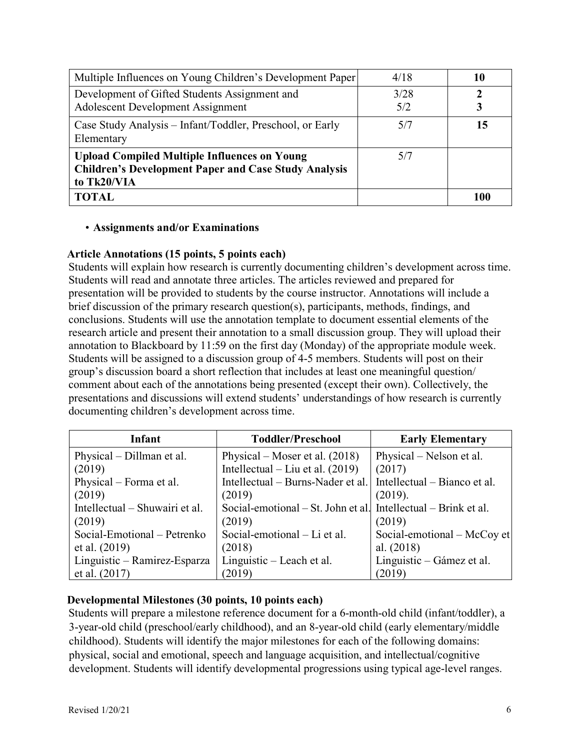| Multiple Influences on Young Children's Development Paper                                                                         | 4/18        |     |
|-----------------------------------------------------------------------------------------------------------------------------------|-------------|-----|
| Development of Gifted Students Assignment and<br><b>Adolescent Development Assignment</b>                                         | 3/28<br>5/2 |     |
| Case Study Analysis – Infant/Toddler, Preschool, or Early<br>Elementary                                                           | 5/7         | 15  |
| <b>Upload Compiled Multiple Influences on Young</b><br><b>Children's Development Paper and Case Study Analysis</b><br>to Tk20/VIA | 5/7         |     |
| <b>TOTAL</b>                                                                                                                      |             | 100 |

#### • **Assignments and/or Examinations**

#### **Article Annotations (15 points, 5 points each)**

Students will explain how research is currently documenting children's development across time. Students will read and annotate three articles. The articles reviewed and prepared for presentation will be provided to students by the course instructor. Annotations will include a brief discussion of the primary research question(s), participants, methods, findings, and conclusions. Students will use the annotation template to document essential elements of the research article and present their annotation to a small discussion group. They will upload their annotation to Blackboard by 11:59 on the first day (Monday) of the appropriate module week. Students will be assigned to a discussion group of 4-5 members. Students will post on their group's discussion board a short reflection that includes at least one meaningful question/ comment about each of the annotations being presented (except their own). Collectively, the presentations and discussions will extend students' understandings of how research is currently documenting children's development across time.

| Infant                         | <b>Toddler/Preschool</b>           | <b>Early Elementary</b>      |
|--------------------------------|------------------------------------|------------------------------|
| Physical – Dillman et al.      | Physical – Moser et al. $(2018)$   | Physical – Nelson et al.     |
| (2019)                         | Intellectual – Liu et al. $(2019)$ | (2017)                       |
| Physical – Forma et al.        | Intellectual – Burns-Nader et al.  | Intellectual – Bianco et al. |
| (2019)                         | (2019)                             | (2019).                      |
| Intellectual – Shuwairi et al. | Social-emotional – St. John et al. | Intellectual – Brink et al.  |
| (2019)                         | (2019)                             | (2019)                       |
| Social-Emotional – Petrenko    | Social-emotional – Li et al.       | Social-emotional – McCoy et  |
| et al. $(2019)$                | (2018)                             | al. $(2018)$                 |
| Linguistic – Ramirez-Esparza   | Linguistic – Leach et al.          | Linguistic – Gámez et al.    |
| et al. $(2017)$                | (2019)                             | (2019)                       |

# **Developmental Milestones (30 points, 10 points each)**

Students will prepare a milestone reference document for a 6-month-old child (infant/toddler), a 3-year-old child (preschool/early childhood), and an 8-year-old child (early elementary/middle childhood). Students will identify the major milestones for each of the following domains: physical, social and emotional, speech and language acquisition, and intellectual/cognitive development. Students will identify developmental progressions using typical age-level ranges.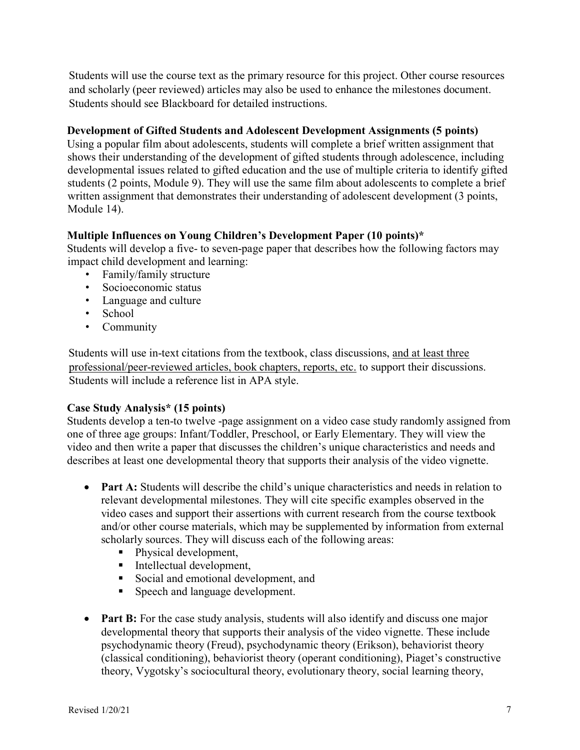Students will use the course text as the primary resource for this project. Other course resources and scholarly (peer reviewed) articles may also be used to enhance the milestones document. Students should see Blackboard for detailed instructions.

# **Development of Gifted Students and Adolescent Development Assignments (5 points)**

Using a popular film about adolescents, students will complete a brief written assignment that shows their understanding of the development of gifted students through adolescence, including developmental issues related to gifted education and the use of multiple criteria to identify gifted students (2 points, Module 9). They will use the same film about adolescents to complete a brief written assignment that demonstrates their understanding of adolescent development (3 points, Module 14).

# **Multiple Influences on Young Children's Development Paper (10 points)\***

Students will develop a five- to seven-page paper that describes how the following factors may impact child development and learning:

- Family/family structure
- Socioeconomic status
- Language and culture
- School
- Community

Students will use in-text citations from the textbook, class discussions, and at least three professional/peer-reviewed articles, book chapters, reports, etc. to support their discussions. Students will include a reference list in APA style.

# **Case Study Analysis\* (15 points)**

Students develop a ten-to twelve -page assignment on a video case study randomly assigned from one of three age groups: Infant/Toddler, Preschool, or Early Elementary. They will view the video and then write a paper that discusses the children's unique characteristics and needs and describes at least one developmental theory that supports their analysis of the video vignette.

- **Part A:** Students will describe the child's unique characteristics and needs in relation to relevant developmental milestones. They will cite specific examples observed in the video cases and support their assertions with current research from the course textbook and/or other course materials, which may be supplemented by information from external scholarly sources. They will discuss each of the following areas:
	- Physical development,
	- **Intellectual development,**
	- Social and emotional development, and
	- **Speech and language development.**
- **Part B:** For the case study analysis, students will also identify and discuss one major developmental theory that supports their analysis of the video vignette. These include psychodynamic theory (Freud), psychodynamic theory (Erikson), behaviorist theory (classical conditioning), behaviorist theory (operant conditioning), Piaget's constructive theory, Vygotsky's sociocultural theory, evolutionary theory, social learning theory,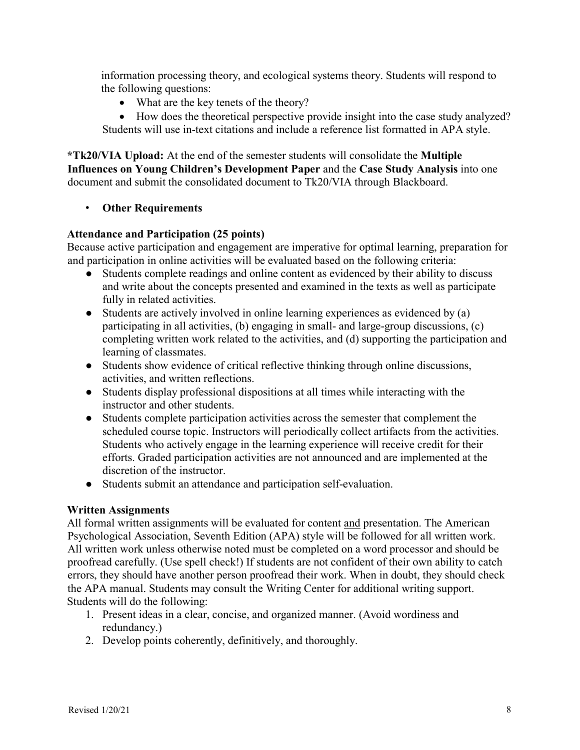information processing theory, and ecological systems theory. Students will respond to the following questions:

• What are the key tenets of the theory?

• How does the theoretical perspective provide insight into the case study analyzed? Students will use in-text citations and include a reference list formatted in APA style.

**\*Tk20/VIA Upload:** At the end of the semester students will consolidate the **Multiple Influences on Young Children's Development Paper** and the **Case Study Analysis** into one document and submit the consolidated document to Tk20/VIA through Blackboard.

#### • **Other Requirements**

#### **Attendance and Participation (25 points)**

Because active participation and engagement are imperative for optimal learning, preparation for and participation in online activities will be evaluated based on the following criteria:

- Students complete readings and online content as evidenced by their ability to discuss and write about the concepts presented and examined in the texts as well as participate fully in related activities.
- Students are actively involved in online learning experiences as evidenced by (a) participating in all activities, (b) engaging in small- and large-group discussions, (c) completing written work related to the activities, and (d) supporting the participation and learning of classmates.
- Students show evidence of critical reflective thinking through online discussions, activities, and written reflections.
- Students display professional dispositions at all times while interacting with the instructor and other students.
- Students complete participation activities across the semester that complement the scheduled course topic. Instructors will periodically collect artifacts from the activities. Students who actively engage in the learning experience will receive credit for their efforts. Graded participation activities are not announced and are implemented at the discretion of the instructor.
- Students submit an attendance and participation self-evaluation.

#### **Written Assignments**

All formal written assignments will be evaluated for content and presentation. The American Psychological Association, Seventh Edition (APA) style will be followed for all written work. All written work unless otherwise noted must be completed on a word processor and should be proofread carefully. (Use spell check!) If students are not confident of their own ability to catch errors, they should have another person proofread their work. When in doubt, they should check the APA manual. Students may consult the Writing Center for additional writing support. Students will do the following:

- 1. Present ideas in a clear, concise, and organized manner. (Avoid wordiness and redundancy.)
- 2. Develop points coherently, definitively, and thoroughly.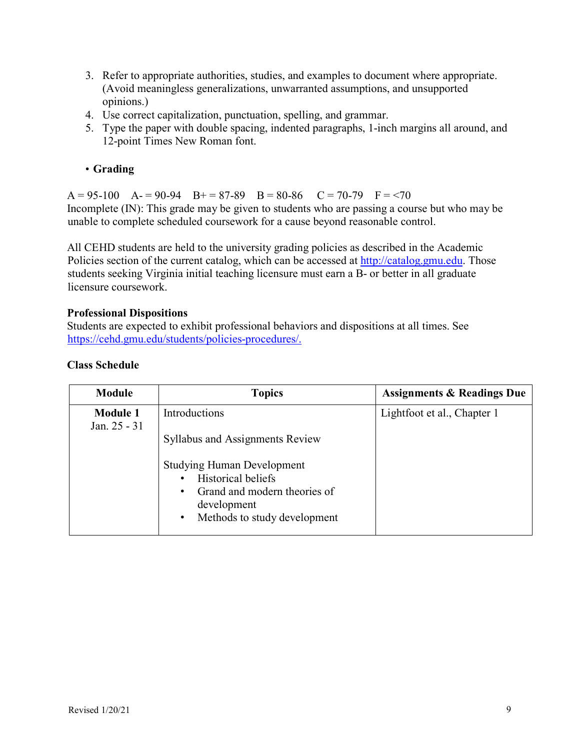- 3. Refer to appropriate authorities, studies, and examples to document where appropriate. (Avoid meaningless generalizations, unwarranted assumptions, and unsupported opinions.)
- 4. Use correct capitalization, punctuation, spelling, and grammar.
- 5. Type the paper with double spacing, indented paragraphs, 1-inch margins all around, and 12-point Times New Roman font.

# • **Grading**

 $A = 95-100$   $A = 90-94$   $B = 87-89$   $B = 80-86$   $C = 70-79$   $F = 70$ Incomplete (IN): This grade may be given to students who are passing a course but who may be unable to complete scheduled coursework for a cause beyond reasonable control.

All CEHD students are held to the university grading policies as described in the Academic Policies section of the current catalog, which can be accessed at http://catalog.gmu.edu. Those students seeking Virginia initial teaching licensure must earn a B- or better in all graduate licensure coursework.

#### **Professional Dispositions**

Students are expected to exhibit professional behaviors and dispositions at all times. See https://cehd.gmu.edu/students/policies-procedures/.

#### **Class Schedule**

| Module                          | <b>Topics</b>                                                                                                                                                   | <b>Assignments &amp; Readings Due</b> |
|---------------------------------|-----------------------------------------------------------------------------------------------------------------------------------------------------------------|---------------------------------------|
| <b>Module 1</b><br>Jan. 25 - 31 | Introductions                                                                                                                                                   | Lightfoot et al., Chapter 1           |
|                                 | <b>Syllabus and Assignments Review</b>                                                                                                                          |                                       |
|                                 | <b>Studying Human Development</b><br><b>Historical beliefs</b><br>Grand and modern theories of<br>٠<br>development<br>Methods to study development<br>$\bullet$ |                                       |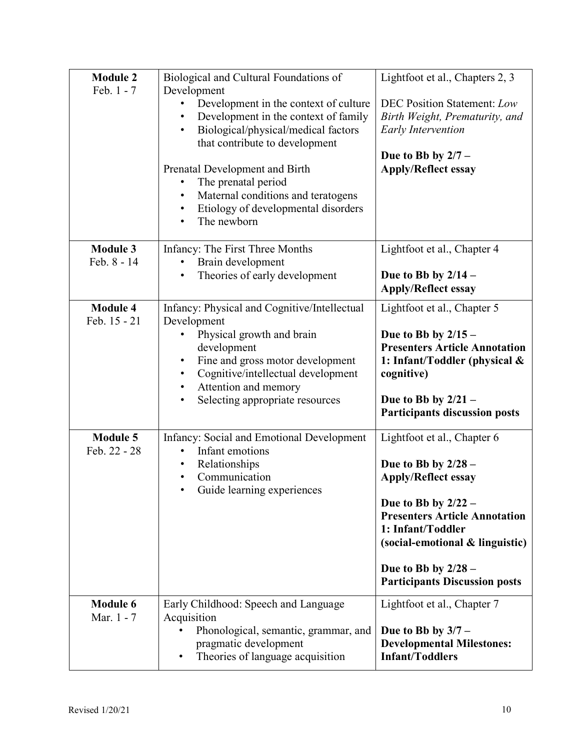| <b>Module 2</b><br>Feb. 1 - 7   | Biological and Cultural Foundations of<br>Development<br>Development in the context of culture<br>٠<br>Development in the context of family<br>٠<br>Biological/physical/medical factors<br>$\bullet$<br>that contribute to development<br>Prenatal Development and Birth<br>The prenatal period<br>٠<br>Maternal conditions and teratogens<br>Etiology of developmental disorders<br>٠<br>The newborn | Lightfoot et al., Chapters 2, 3<br><b>DEC Position Statement: Low</b><br>Birth Weight, Prematurity, and<br><b>Early Intervention</b><br>Due to Bb by $2/7 -$<br><b>Apply/Reflect essay</b>                                                                                   |
|---------------------------------|-------------------------------------------------------------------------------------------------------------------------------------------------------------------------------------------------------------------------------------------------------------------------------------------------------------------------------------------------------------------------------------------------------|------------------------------------------------------------------------------------------------------------------------------------------------------------------------------------------------------------------------------------------------------------------------------|
| <b>Module 3</b><br>Feb. 8 - 14  | Infancy: The First Three Months<br>Brain development<br>٠<br>Theories of early development<br>$\bullet$                                                                                                                                                                                                                                                                                               | Lightfoot et al., Chapter 4<br>Due to Bb by $2/14$ –<br><b>Apply/Reflect essay</b>                                                                                                                                                                                           |
| <b>Module 4</b><br>Feb. 15 - 21 | Infancy: Physical and Cognitive/Intellectual<br>Development<br>Physical growth and brain<br>development<br>Fine and gross motor development<br>٠<br>Cognitive/intellectual development<br>Attention and memory<br>٠<br>Selecting appropriate resources<br>٠                                                                                                                                           | Lightfoot et al., Chapter 5<br>Due to Bb by $2/15$ –<br><b>Presenters Article Annotation</b><br>1: Infant/Toddler (physical &<br>cognitive)<br>Due to Bb by $2/21 -$<br><b>Participants discussion posts</b>                                                                 |
| <b>Module 5</b><br>Feb. 22 - 28 | Infancy: Social and Emotional Development<br>Infant emotions<br>$\bullet$<br>Relationships<br>٠<br>Communication<br>Guide learning experiences                                                                                                                                                                                                                                                        | Lightfoot et al., Chapter 6<br>Due to Bb by $2/28$ –<br><b>Apply/Reflect essay</b><br>Due to Bb by $2/22 -$<br><b>Presenters Article Annotation</b><br>1: Infant/Toddler<br>(social-emotional & linguistic)<br>Due to Bb by $2/28$ –<br><b>Participants Discussion posts</b> |
| <b>Module 6</b><br>Mar. 1 - 7   | Early Childhood: Speech and Language<br>Acquisition<br>Phonological, semantic, grammar, and<br>pragmatic development<br>Theories of language acquisition<br>٠                                                                                                                                                                                                                                         | Lightfoot et al., Chapter 7<br>Due to Bb by $3/7$ –<br><b>Developmental Milestones:</b><br><b>Infant/Toddlers</b>                                                                                                                                                            |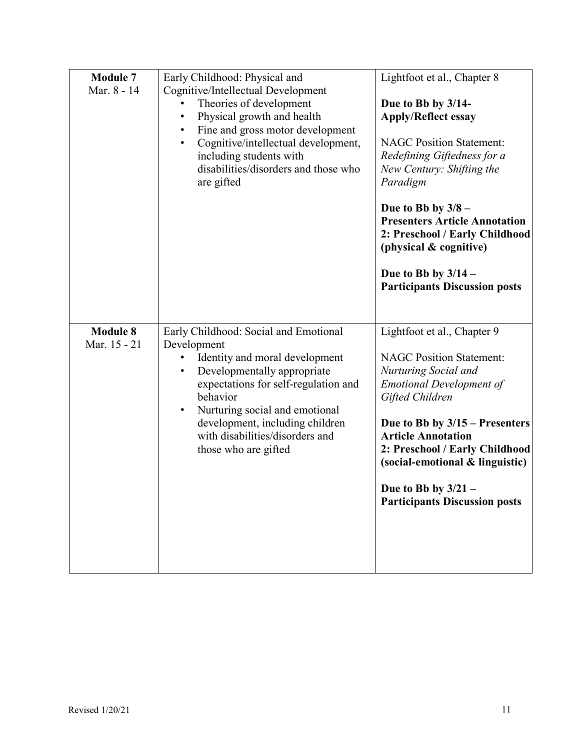| <b>Module 7</b><br>Mar. 8 - 14  | Early Childhood: Physical and<br>Cognitive/Intellectual Development<br>Theories of development<br>Physical growth and health<br>$\bullet$<br>Fine and gross motor development<br>Cognitive/intellectual development,<br>$\bullet$<br>including students with<br>disabilities/disorders and those who<br>are gifted                  | Lightfoot et al., Chapter 8<br>Due to Bb by 3/14-<br><b>Apply/Reflect essay</b><br><b>NAGC Position Statement:</b><br>Redefining Giftedness for a<br>New Century: Shifting the<br>Paradigm<br>Due to Bb by $3/8$ –<br><b>Presenters Article Annotation</b><br>2: Preschool / Early Childhood<br>(physical & cognitive)<br>Due to Bb by $3/14$ –<br><b>Participants Discussion posts</b> |
|---------------------------------|-------------------------------------------------------------------------------------------------------------------------------------------------------------------------------------------------------------------------------------------------------------------------------------------------------------------------------------|-----------------------------------------------------------------------------------------------------------------------------------------------------------------------------------------------------------------------------------------------------------------------------------------------------------------------------------------------------------------------------------------|
| <b>Module 8</b><br>Mar. 15 - 21 | Early Childhood: Social and Emotional<br>Development<br>Identity and moral development<br>Developmentally appropriate<br>$\bullet$<br>expectations for self-regulation and<br>behavior<br>Nurturing social and emotional<br>$\bullet$<br>development, including children<br>with disabilities/disorders and<br>those who are gifted | Lightfoot et al., Chapter 9<br><b>NAGC Position Statement:</b><br>Nurturing Social and<br><b>Emotional Development of</b><br>Gifted Children<br>Due to Bb by $3/15$ – Presenters<br><b>Article Annotation</b><br>2: Preschool / Early Childhood<br>(social-emotional & linguistic)<br>Due to Bb by $3/21$ –<br><b>Participants Discussion posts</b>                                     |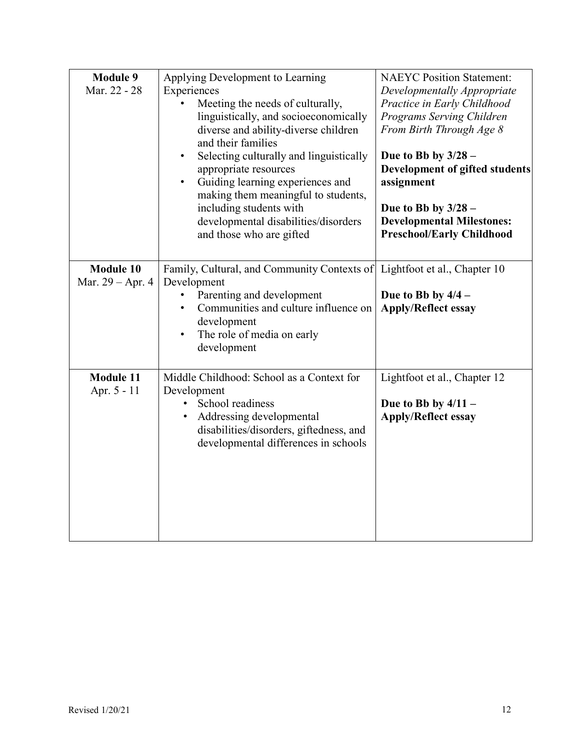| <b>Module 9</b><br>Mar. 22 - 28      | Applying Development to Learning<br>Experiences<br>Meeting the needs of culturally,<br>linguistically, and socioeconomically<br>diverse and ability-diverse children<br>and their families<br>Selecting culturally and linguistically<br>$\bullet$<br>appropriate resources<br>Guiding learning experiences and<br>$\bullet$<br>making them meaningful to students,<br>including students with<br>developmental disabilities/disorders<br>and those who are gifted | <b>NAEYC Position Statement:</b><br>Developmentally Appropriate<br>Practice in Early Childhood<br>Programs Serving Children<br>From Birth Through Age 8<br>Due to Bb by $3/28$ –<br>Development of gifted students<br>assignment<br>Due to Bb by $3/28$ –<br><b>Developmental Milestones:</b><br><b>Preschool/Early Childhood</b> |  |
|--------------------------------------|--------------------------------------------------------------------------------------------------------------------------------------------------------------------------------------------------------------------------------------------------------------------------------------------------------------------------------------------------------------------------------------------------------------------------------------------------------------------|-----------------------------------------------------------------------------------------------------------------------------------------------------------------------------------------------------------------------------------------------------------------------------------------------------------------------------------|--|
| <b>Module 10</b><br>Mar. 29 – Apr. 4 | Family, Cultural, and Community Contexts of<br>Development<br>Parenting and development<br>Communities and culture influence on<br>development<br>The role of media on early<br>$\bullet$<br>development                                                                                                                                                                                                                                                           | Lightfoot et al., Chapter 10<br>Due to Bb by $4/4$ –<br><b>Apply/Reflect essay</b>                                                                                                                                                                                                                                                |  |
| <b>Module 11</b><br>Apr. 5 - 11      | Middle Childhood: School as a Context for<br>Development<br>School readiness<br>Addressing developmental<br>disabilities/disorders, giftedness, and<br>developmental differences in schools                                                                                                                                                                                                                                                                        | Lightfoot et al., Chapter 12<br>Due to Bb by $4/11 -$<br><b>Apply/Reflect essay</b>                                                                                                                                                                                                                                               |  |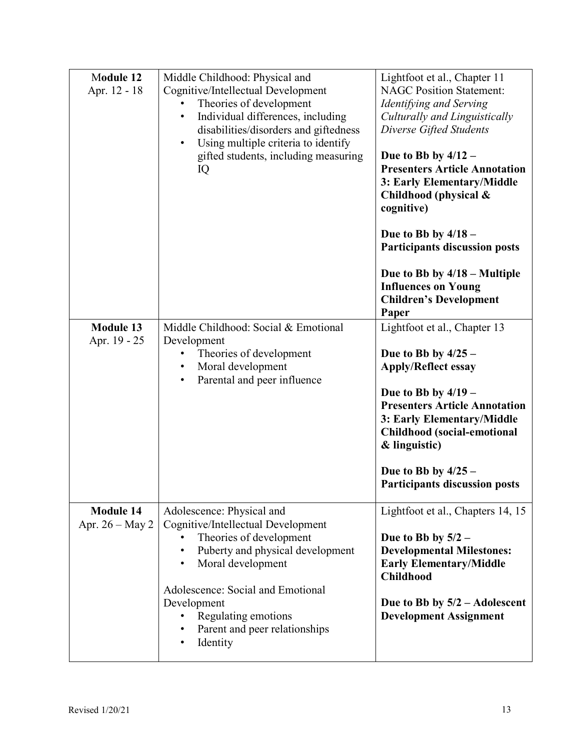| Module 12<br>Apr. 12 - 18             | Middle Childhood: Physical and<br>Cognitive/Intellectual Development<br>Theories of development<br>$\bullet$<br>Individual differences, including<br>$\bullet$<br>disabilities/disorders and giftedness<br>Using multiple criteria to identify<br>$\bullet$<br>gifted students, including measuring<br>IQ               | Lightfoot et al., Chapter 11<br><b>NAGC Position Statement:</b><br>Identifying and Serving<br>Culturally and Linguistically<br>Diverse Gifted Students<br>Due to Bb by $4/12 -$<br><b>Presenters Article Annotation</b><br>3: Early Elementary/Middle<br>Childhood (physical &<br>cognitive)<br>Due to Bb by $4/18$ –<br><b>Participants discussion posts</b><br>Due to Bb by $4/18$ – Multiple<br><b>Influences on Young</b><br><b>Children's Development</b> |
|---------------------------------------|-------------------------------------------------------------------------------------------------------------------------------------------------------------------------------------------------------------------------------------------------------------------------------------------------------------------------|----------------------------------------------------------------------------------------------------------------------------------------------------------------------------------------------------------------------------------------------------------------------------------------------------------------------------------------------------------------------------------------------------------------------------------------------------------------|
| <b>Module 13</b><br>Apr. 19 - 25      | Middle Childhood: Social & Emotional<br>Development<br>Theories of development<br>٠<br>Moral development<br>$\bullet$<br>Parental and peer influence<br>$\bullet$                                                                                                                                                       | Paper<br>Lightfoot et al., Chapter 13<br>Due to Bb by $4/25 -$<br><b>Apply/Reflect essay</b><br>Due to Bb by $4/19$ –<br><b>Presenters Article Annotation</b><br>3: Early Elementary/Middle<br><b>Childhood</b> (social-emotional<br>& linguistic)<br>Due to Bb by $4/25 -$<br><b>Participants discussion posts</b>                                                                                                                                            |
| <b>Module 14</b><br>Apr. $26 - May 2$ | Adolescence: Physical and<br>Cognitive/Intellectual Development<br>Theories of development<br>Puberty and physical development<br>$\bullet$<br>Moral development<br>$\bullet$<br>Adolescence: Social and Emotional<br>Development<br>Regulating emotions<br>٠<br>Parent and peer relationships<br>$\bullet$<br>Identity | Lightfoot et al., Chapters 14, 15<br>Due to Bb by $5/2$ –<br><b>Developmental Milestones:</b><br><b>Early Elementary/Middle</b><br><b>Childhood</b><br>Due to Bb by $5/2$ – Adolescent<br><b>Development Assignment</b>                                                                                                                                                                                                                                        |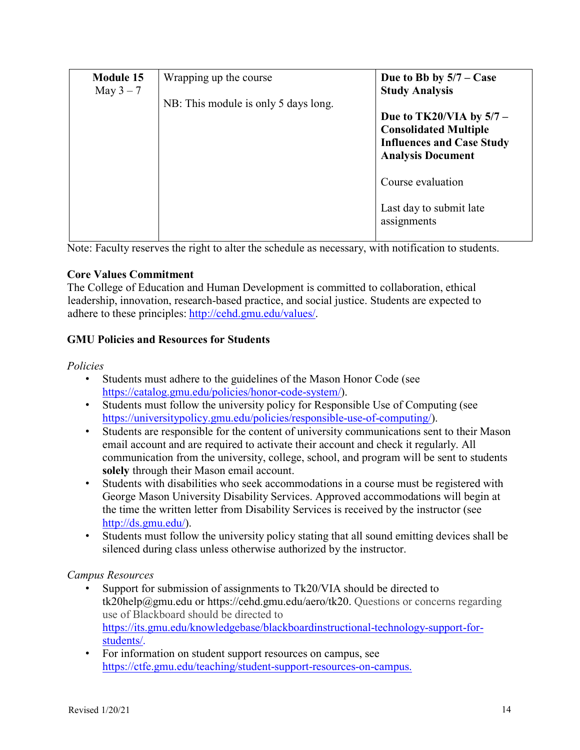| <b>Module 15</b><br>May $3-7$ | Wrapping up the course               | Due to Bb by $5/7 - Case$<br><b>Study Analysis</b>                                                                         |
|-------------------------------|--------------------------------------|----------------------------------------------------------------------------------------------------------------------------|
|                               | NB: This module is only 5 days long. | Due to TK20/VIA by $5/7$ –<br><b>Consolidated Multiple</b><br><b>Influences and Case Study</b><br><b>Analysis Document</b> |
|                               |                                      | Course evaluation                                                                                                          |
|                               |                                      | Last day to submit late<br>assignments                                                                                     |

Note: Faculty reserves the right to alter the schedule as necessary, with notification to students.

#### **Core Values Commitment**

The College of Education and Human Development is committed to collaboration, ethical leadership, innovation, research-based practice, and social justice. Students are expected to adhere to these principles: http://cehd.gmu.edu/values/.

# **GMU Policies and Resources for Students**

#### *Policies*

- Students must adhere to the guidelines of the Mason Honor Code (see https://catalog.gmu.edu/policies/honor-code-system/).
- Students must follow the university policy for Responsible Use of Computing (see https://universitypolicy.gmu.edu/policies/responsible-use-of-computing/).
- Students are responsible for the content of university communications sent to their Mason email account and are required to activate their account and check it regularly. All communication from the university, college, school, and program will be sent to students **solely** through their Mason email account.
- Students with disabilities who seek accommodations in a course must be registered with George Mason University Disability Services. Approved accommodations will begin at the time the written letter from Disability Services is received by the instructor (see http://ds.gmu.edu/).
- Students must follow the university policy stating that all sound emitting devices shall be silenced during class unless otherwise authorized by the instructor.

#### *Campus Resources*

- Support for submission of assignments to Tk20/VIA should be directed to tk20help@gmu.edu or https://cehd.gmu.edu/aero/tk20. Questions or concerns regarding use of Blackboard should be directed to https://its.gmu.edu/knowledgebase/blackboardinstructional-technology-support-forstudents/.
- For information on student support resources on campus, see https://ctfe.gmu.edu/teaching/student-support-resources-on-campus.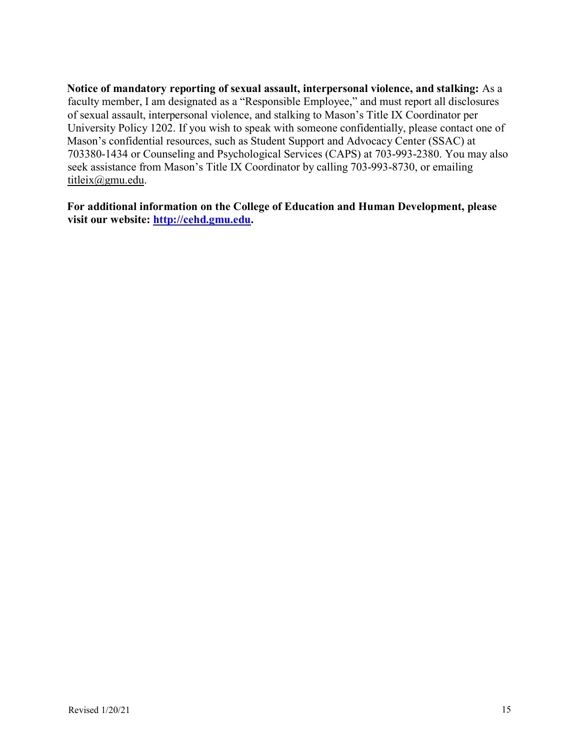**Notice of mandatory reporting of sexual assault, interpersonal violence, and stalking:** As a faculty member, I am designated as a "Responsible Employee," and must report all disclosures of sexual assault, interpersonal violence, and stalking to Mason's Title IX Coordinator per University Policy 1202. If you wish to speak with someone confidentially, please contact one of Mason's confidential resources, such as Student Support and Advocacy Center (SSAC) at 703380-1434 or Counseling and Psychological Services (CAPS) at 703-993-2380. You may also seek assistance from Mason's Title IX Coordinator by calling 703-993-8730, or emailing titleix@gmu.edu.

**For additional information on the College of Education and Human Development, please visit our website: http://cehd.gmu.edu.**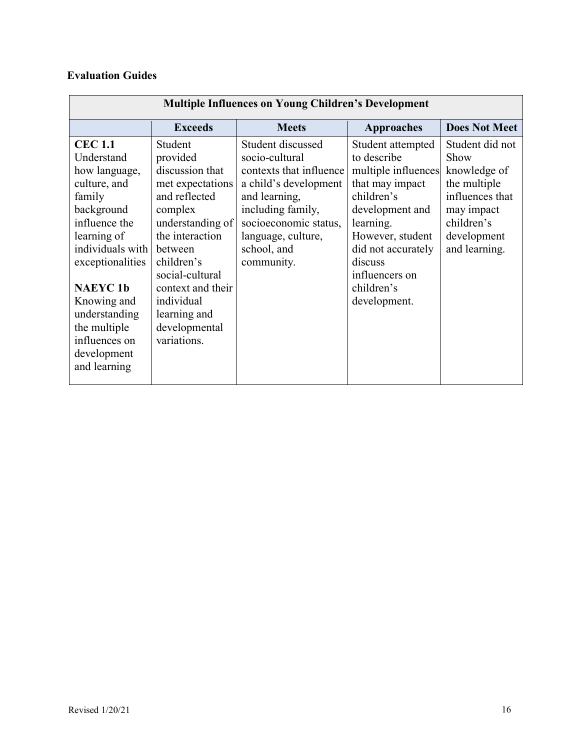# **Evaluation Guides**

| <b>Multiple Influences on Young Children's Development</b> |                   |                         |                     |                      |
|------------------------------------------------------------|-------------------|-------------------------|---------------------|----------------------|
|                                                            | <b>Exceeds</b>    | <b>Meets</b>            | <b>Approaches</b>   | <b>Does Not Meet</b> |
| <b>CEC 1.1</b>                                             | Student           | Student discussed       | Student attempted   | Student did not      |
| Understand                                                 | provided          | socio-cultural          | to describe         | Show                 |
| how language,                                              | discussion that   | contexts that influence | multiple influences | knowledge of         |
| culture, and                                               | met expectations  | a child's development   | that may impact     | the multiple         |
| family                                                     | and reflected     | and learning,           | children's          | influences that      |
| background                                                 | complex           | including family,       | development and     | may impact           |
| influence the                                              | understanding of  | socioeconomic status,   | learning.           | children's           |
| learning of                                                | the interaction   | language, culture,      | However, student    | development          |
| individuals with                                           | between           | school, and             | did not accurately  | and learning.        |
| exceptionalities                                           | children's        | community.              | discuss             |                      |
|                                                            | social-cultural   |                         | influencers on      |                      |
| <b>NAEYC1b</b>                                             | context and their |                         | children's          |                      |
| Knowing and                                                | individual        |                         | development.        |                      |
| understanding                                              | learning and      |                         |                     |                      |
| the multiple                                               | developmental     |                         |                     |                      |
| influences on                                              | variations.       |                         |                     |                      |
| development                                                |                   |                         |                     |                      |
| and learning                                               |                   |                         |                     |                      |
|                                                            |                   |                         |                     |                      |